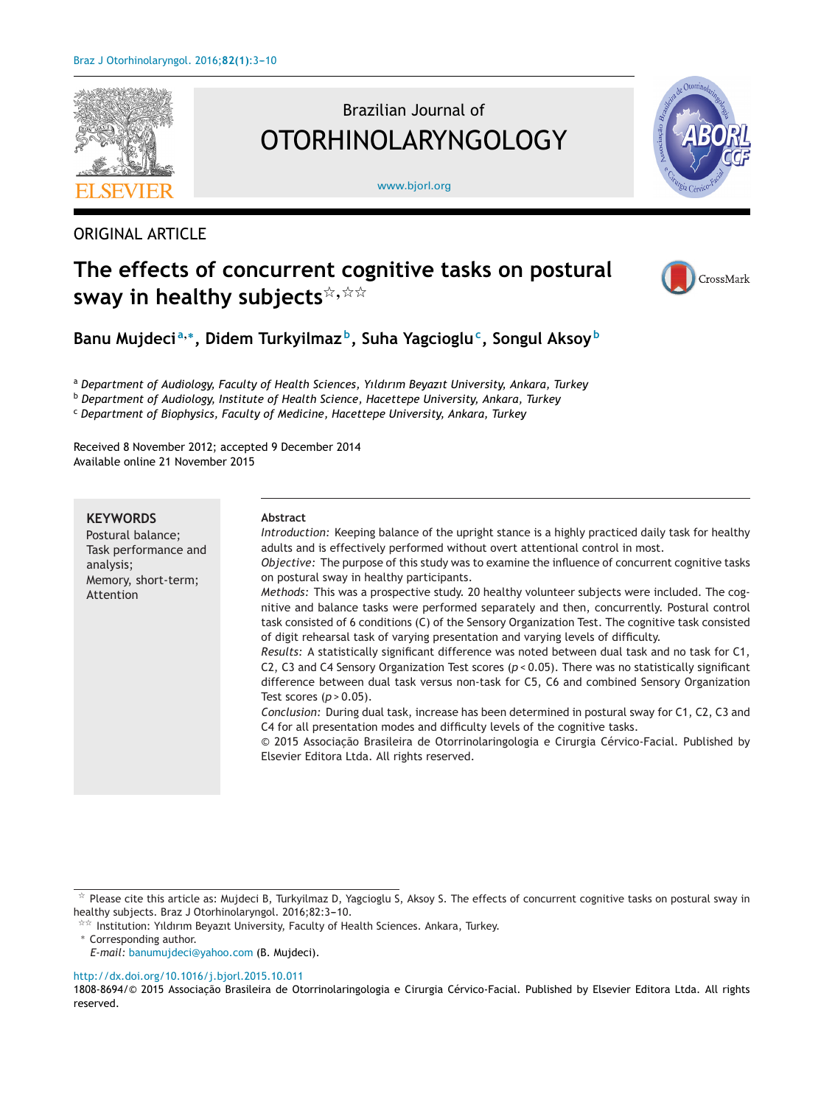

# Brazilian Journal of OTORHINOLARYNGOLOGY

[www.bjorl.org](http://www.bjorl.org)



# ORIGINAL ARTICLE

# **The effects of concurrent cognitive tasks on postural**  $\mathbf{s}$ way in healthy  $\mathbf{s}$ ubjects $^{\not\approx, \, \not\approx\, \not\approx}$



**Banu Mujdeci <sup>a</sup>,∗, Didem Turkyilmaz b, Suha Yagciogluc, Songul Aksoy <sup>b</sup>**

<sup>a</sup> *Department of Audiology, Faculty of Health Sciences, Yıldırım Beyazıt University, Ankara, Turkey*

<sup>b</sup> *Department of Audiology, Institute of Health Science, Hacettepe University, Ankara, Turkey*

<sup>c</sup> *Department of Biophysics, Faculty of Medicine, Hacettepe University, Ankara, Turkey*

Received 8 November 2012; accepted 9 December 2014 Available online 21 November 2015

## **KEYWORDS**

Postural balance; Task performance and analysis; Memory, short-term; Attention

### **Abstract**

*Introduction:* Keeping balance of the upright stance is a highly practiced daily task for healthy adults and is effectively performed without overt attentional control in most. *Objective:* The purpose of this study was to examine the influence of concurrent cognitive tasks on postural sway in healthy participants.

*Methods:* This was a prospective study. 20 healthy volunteer subjects were included. The cognitive and balance tasks were performed separately and then, concurrently. Postural control task consisted of 6 conditions (C) of the Sensory Organization Test. The cognitive task consisted of digit rehearsal task of varying presentation and varying levels of difficulty.

*Results:* A statistically significant difference was noted between dual task and no task for C1, C2, C3 and C4 Sensory Organization Test scores (*p* < 0.05). There was no statistically significant difference between dual task versus non-task for C5, C6 and combined Sensory Organization Test scores (*p* > 0.05).

*Conclusion:* During dual task, increase has been determined in postural sway for C1, C2, C3 and C4 for all presentation modes and difficulty levels of the cognitive tasks.

© 2015 Associação Brasileira de Otorrinolaringologia e Cirurgia Cérvico-Facial. Published by Elsevier Editora Ltda. All rights reserved.

 $\overline{\phantom{a}}^{\star\star}$  Institution: Yıldırım Beyazıt University, Faculty of Health Sciences. Ankara, Turkey.

*E-mail:* [banumujdeci@yahoo.com](mailto:banumujdeci@yahoo.com) (B. Mujdeci).

[http://dx.doi.org/10.1016/j.bjorl.2015.10.011](dx.doi.org/10.1016/j.bjorl.2015.10.011)

 $^\star$  Please cite this article as: Mujdeci B, Turkyilmaz D, Yagcioglu S, Aksoy S. The effects of concurrent cognitive tasks on postural sway in healthy subjects. Braz J Otorhinolaryngol. 2016;82:3-10.

<sup>∗</sup> Corresponding author.

<sup>1808-8694/© 2015</sup> Associacão Brasileira de Otorrinolaringologia e Cirurgia Cérvico-Facial. Published by Elsevier Editora Ltda. All rights reserved.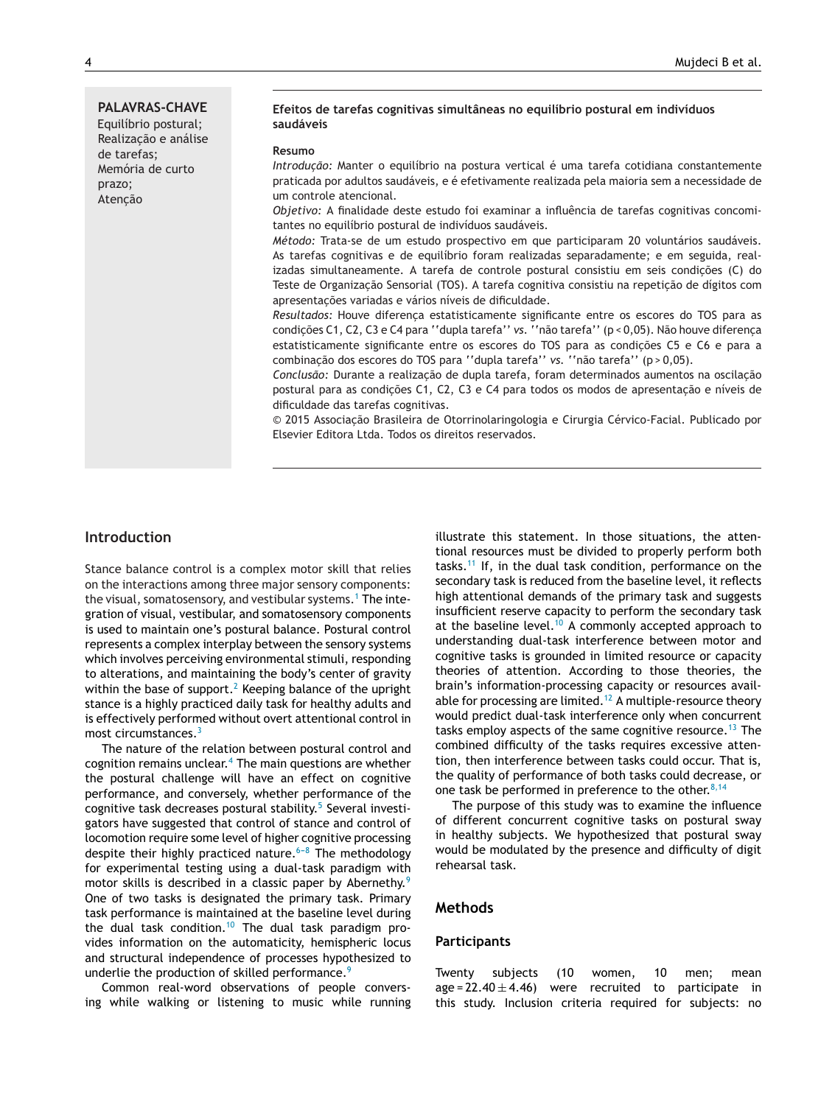#### **Efeitos de tarefas cognitivas simultâneas no equilíbrio postural em indivíduos saudáveis**

#### **Resumo**

*Introdução: Manter o equilíbrio na postura vertical é uma tarefa cotidiana constantemente* praticada por adultos saudáveis, e é efetivamente realizada pela maioria sem a necessidade de um controle atencional.

*Objetivo:* A finalidade deste estudo foi examinar a influência de tarefas cognitivas concomitantes no equilíbrio postural de indivíduos saudáveis.

*Método:* Trata-se de um estudo prospectivo em que participaram 20 voluntários saudáveis. As tarefas cognitivas e de equilíbrio foram realizadas separadamente; e em seguida, realizadas simultaneamente. A tarefa de controle postural consistiu em seis condições (C) do Teste de Organização Sensorial (TOS). A tarefa cognitiva consistiu na repeticão de dígitos com apresentações variadas e vários níveis de dificuldade.

Resultados: Houve diferenca estatisticamente significante entre os escores do TOS para as condições C1, C2, C3 e C4 para ''dupla tarefa'' vs. ''não tarefa'' (p < 0,05). Não houve diferença estatisticamente significante entre os escores do TOS para as condições C5 e C6 e para a combinação dos escores do TOS para "dupla tarefa" vs. "não tarefa" (p > 0,05).

Conclusão: Durante a realização de dupla tarefa, foram determinados aumentos na oscilação postural para as condições C1, C2, C3 e C4 para todos os modos de apresentação e níveis de dificuldade das tarefas cognitivas.

© 2015 Associação Brasileira de Otorrinolaringologia e Cirurgia Cérvico-Facial. Publicado por Elsevier Editora Ltda. Todos os direitos reservados.

## **Introduction**

Stance balance control is a complex motor skill that relies on the interactions among three major sensory components: the visual, somatosensory, and vestibular systems.<sup>1</sup> [T](#page-6-0)he integration of visual, vestibular, and somatosensory components is used to maintain one's postural balance. Postural control represents a complex interplay between the sensory systems which involves perceiving environmental stimuli, responding to alterations, and maintaining the body's center of gravity within the base of support.<sup>2</sup> [K](#page-6-0)eeping balance of the upright stance is a highly practiced daily task for healthy adults and is effectively performed without overt attentional control in most circumstances.<sup>[3](#page-6-0)</sup>

The nature of the relation between postural control and cognition remains unclear. $4$  [T](#page-6-0)he main questions are whether the postural challenge will have an effect on cognitive performance, and conversely, whether performance of the cognitive task decreases postural stability.<sup>[5](#page-6-0)</sup> Several investigators have suggested that control of stance and control of locomotion require some level of higher cognitive processing despite their highly practiced nature.<sup> $6-8$ </sup> The methodology for experimental testing using a dual-task paradigm with motor skills is described in a classic paper by Abernethy.<sup>[9](#page-7-0)</sup> One of two tasks is designated the primary task. Primary task performance is maintained at the baseline level during the dual task condition.<sup>[10](#page-7-0)</sup> The dual task paradigm provides information on the automaticity, hemispheric locus and structural independence of processes hypothesized to underlie the production of skilled performance.<sup>[9](#page-7-0)</sup>

Common real-word observations of people conversing while walking or listening to music while running illustrate this statement. In those situations, the attentional resources must be divided to properly perform both tasks.<sup>[11](#page-7-0)</sup> If, in the dual task condition, performance on the secondary task is reduced from the baseline level, it reflects high attentional demands of the primary task and suggests insufficient reserve capacity to perform the secondary task at the baseline level.<sup>[10](#page-7-0)</sup> A commonly accepted approach to understanding dual-task interference between motor and cognitive tasks is grounded in limited resource or capacity theories of attention. According to those theories, the brain's information-processing capacity or resources avail-able for processing are limited.<sup>[12](#page-7-0)</sup> A multiple-resource theory would predict dual-task interference only when concurrent tasks employ aspects of the same cognitive resource.<sup>[13](#page-7-0)</sup> The combined difficulty of the tasks requires excessive attention, then interference between tasks could occur. That is, the quality of performance of both tasks could decrease, or one task be performed in preference to the other.  $8,14$ 

The purpose of this study was to examine the influence of different concurrent cognitive tasks on postural sway in healthy subjects. We hypothesized that postural sway would be modulated by the presence and difficulty of digit rehearsal task.

## **Methods**

#### **Participants**

Twenty subjects (10 women, 10 men; mean age =  $22.40 \pm 4.46$ ) were recruited to participate in this study. Inclusion criteria required for subjects: no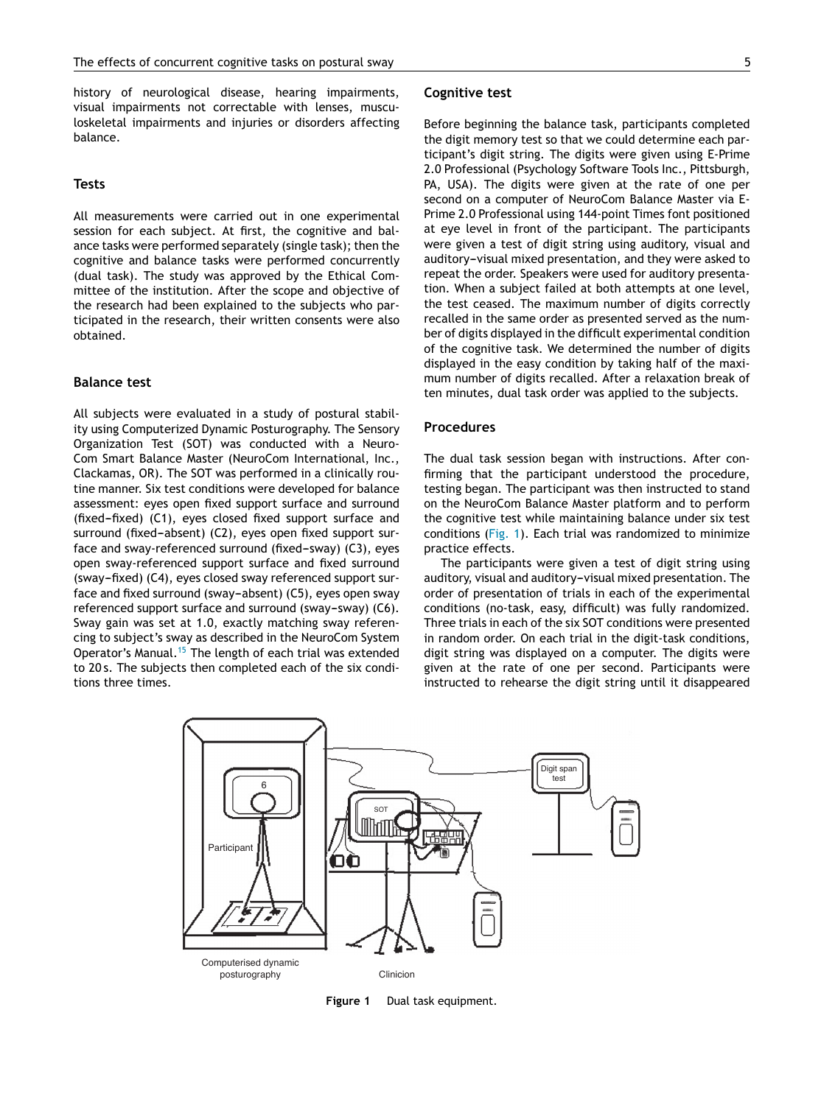history of neurological disease, hearing impairments, visual impairments not correctable with lenses, musculoskeletal impairments and injuries or disorders affecting balance.

### **Tests**

All measurements were carried out in one experimental session for each subject. At first, the cognitive and balance tasks were performed separately (single task); then the cognitive and balance tasks were performed concurrently (dual task). The study was approved by the Ethical Committee of the institution. After the scope and objective of the research had been explained to the subjects who participated in the research, their written consents were also obtained.

### **Balance test**

All subjects were evaluated in a study of postural stability using Computerized Dynamic Posturography. The Sensory Organization Test (SOT) was conducted with a Neuro-Com Smart Balance Master (NeuroCom International, Inc., Clackamas, OR). The SOT was performed in a clinically routine manner. Six test conditions were developed for balance assessment: eyes open fixed support surface and surround  $(fixed$ - $fixed)$   $(C1)$ , eyes closed fixed support surface and surround (fixed-absent) (C2), eyes open fixed support surface and sway-referenced surround (fixed-sway) (C3), eyes open sway-referenced support surface and fixed surround (sway-fixed) (C4), eyes closed sway referenced support surface and fixed surround (sway-absent) (C5), eyes open sway referenced support surface and surround (sway-sway) (C6). Sway gain was set at 1.0, exactly matching sway referencing to subject's sway as described in the NeuroCom System Operator's Manual.<sup>[15](#page-7-0)</sup> The length of each trial was extended to 20 s. The subjects then completed each of the six conditions three times.

#### **Cognitive test**

Before beginning the balance task, participants completed the digit memory test so that we could determine each participant's digit string. The digits were given using E-Prime 2.0 Professional (Psychology Software Tools Inc., Pittsburgh, PA, USA). The digits were given at the rate of one per second on a computer of NeuroCom Balance Master via E-Prime 2.0 Professional using 144-point Times font positioned at eye level in front of the participant. The participants were given a test of digit string using auditory, visual and auditory-visual mixed presentation, and they were asked to repeat the order. Speakers were used for auditory presentation. When a subject failed at both attempts at one level, the test ceased. The maximum number of digits correctly recalled in the same order as presented served as the number of digits displayed in the difficult experimental condition of the cognitive task. We determined the number of digits displayed in the easy condition by taking half of the maximum number of digits recalled. After a relaxation break of ten minutes, dual task order was applied to the subjects.

## **Procedures**

The dual task session began with instructions. After confirming that the participant understood the procedure, testing began. The participant was then instructed to stand on the NeuroCom Balance Master platform and to perform the cognitive test while maintaining balance under six test conditions (Fig. 1). Each trial was randomized to minimize practice effects.

The participants were given a test of digit string using auditory, visual and auditory-visual mixed presentation. The order of presentation of trials in each of the experimental conditions (no-task, easy, difficult) was fully randomized. Three trials in each of the six SOT conditions were presented in random order. On each trial in the digit-task conditions, digit string was displayed on a computer. The digits were given at the rate of one per second. Participants were instructed to rehearse the digit string until it disappeared



**Figure 1** Dual task equipment.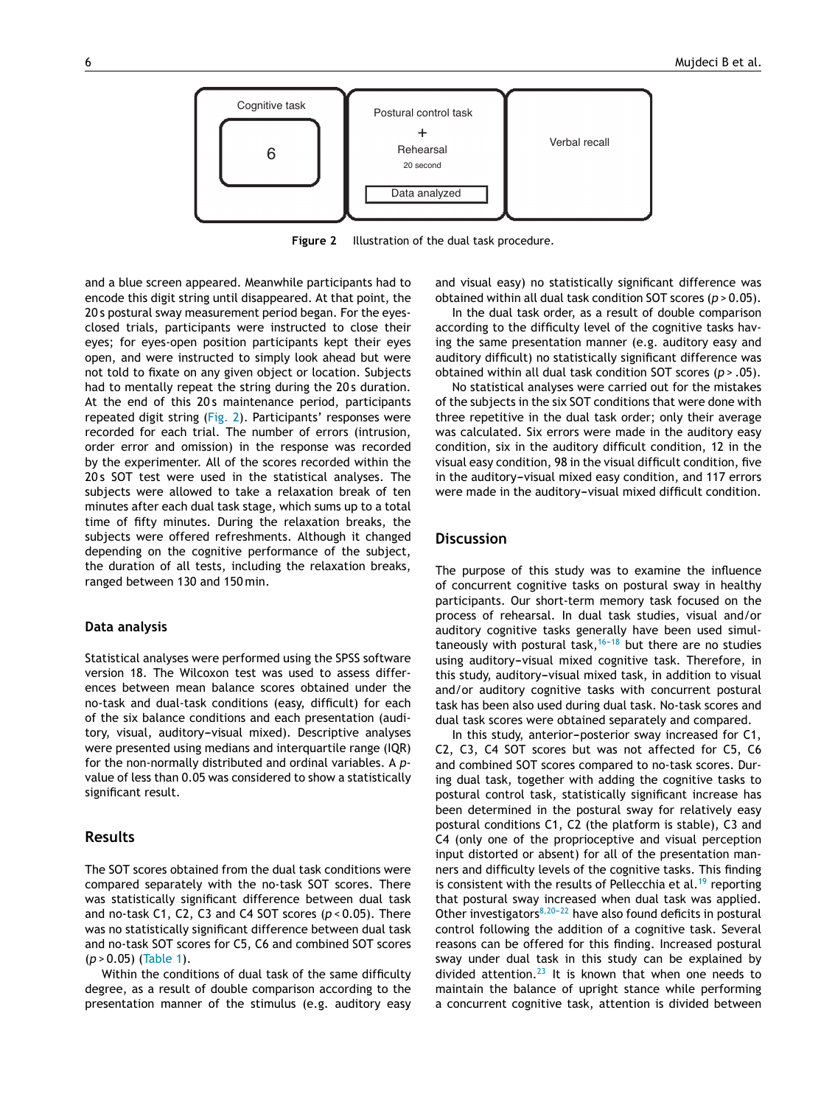

**Figure 2** Illustration of the dual task procedure.

and a blue screen appeared. Meanwhile participants had to encode this digit string until disappeared. At that point, the 20 s postural sway measurement period began. For the eyesclosed trials, participants were instructed to close their eyes; for eyes-open position participants kept their eyes open, and were instructed to simply look ahead but were not told to fixate on any given object or location. Subjects had to mentally repeat the string during the 20 s duration. At the end of this 20s maintenance period, participants repeated digit string (Fig. 2). Participants' responses were recorded for each trial. The number of errors (intrusion, order error and omission) in the response was recorded by the experimenter. All of the scores recorded within the 20 s SOT test were used in the statistical analyses. The subjects were allowed to take a relaxation break of ten minutes after each dual task stage, which sums up to a total time of fifty minutes. During the relaxation breaks, the subjects were offered refreshments. Although it changed depending on the cognitive performance of the subject, the duration of all tests, including the relaxation breaks, ranged between 130 and 150 min.

#### **Data analysis**

Statistical analyses were performed using the SPSS software version 18. The Wilcoxon test was used to assess differences between mean balance scores obtained under the no-task and dual-task conditions (easy, difficult) for each of the six balance conditions and each presentation (auditory, visual, auditory-visual mixed). Descriptive analyses were presented using medians and interquartile range (IQR) for the non-normally distributed and ordinal variables. A *p*value of less than 0.05 was considered to show a statistically significant result.

## **Results**

The SOT scores obtained from the dual task conditions were compared separately with the no-task SOT scores. There was statistically significant difference between dual task and no-task C1, C2, C3 and C4 SOT scores (*p* < 0.05). There was no statistically significant difference between dual task and no-task SOT scores for C5, C6 and combined SOT scores (*p* > 0.05) ([Table](#page-4-0) 1).

Within the conditions of dual task of the same difficulty degree, as a result of double comparison according to the presentation manner of the stimulus (e.g. auditory easy

and visual easy) no statistically significant difference was obtained within all dual task condition SOT scores (*p* > 0.05).

In the dual task order, as a result of double comparison according to the difficulty level of the cognitive tasks having the same presentation manner (e.g. auditory easy and auditory difficult) no statistically significant difference was obtained within all dual task condition SOT scores (*p* > .05).

No statistical analyses were carried out for the mistakes of the subjects in the six SOT conditions that were done with three repetitive in the dual task order; only their average was calculated. Six errors were made in the auditory easy condition, six in the auditory difficult condition, 12 in the visual easy condition, 98 in the visual difficult condition, five in the auditory-visual mixed easy condition, and 117 errors were made in the auditory-visual mixed difficult condition.

## **Discussion**

The purpose of this study was to examine the influence of concurrent cognitive tasks on postural sway in healthy participants. Our short-term memory task focused on the process of rehearsal. In dual task studies, visual and/or auditory cognitive tasks generally have been used simultaneously with postural task, $16-18$  but there are no studies using auditory-visual mixed cognitive task. Therefore, in this study, auditory-visual mixed task, in addition to visual and/or auditory cognitive tasks with concurrent postural task has been also used during dual task. No-task scores and dual task scores were obtained separately and compared.

In this study, anterior-posterior sway increased for C1, C2, C3, C4 SOT scores but was not affected for C5, C6 and combined SOT scores compared to no-task scores. During dual task, together with adding the cognitive tasks to postural control task, statistically significant increase has been determined in the postural sway for relatively easy postural conditions C1, C2 (the platform is stable), C3 and C4 (only one of the proprioceptive and visual perception input distorted or absent) for all of the presentation manners and difficulty levels of the cognitive tasks. This finding is consistent with the results of Pellecchia et al.<sup>[19](#page-7-0)</sup> reporting that postural sway increased when dual task was applied. Other investigators $8,20-22$  have also found deficits in postural control following the addition of a cognitive task. Several reasons can be offered for this finding. Increased postural sway under dual task in this study can be explained by divided attention.<sup>[23](#page-7-0)</sup> It is known that when one needs to maintain the balance of upright stance while performing a concurrent cognitive task, attention is divided between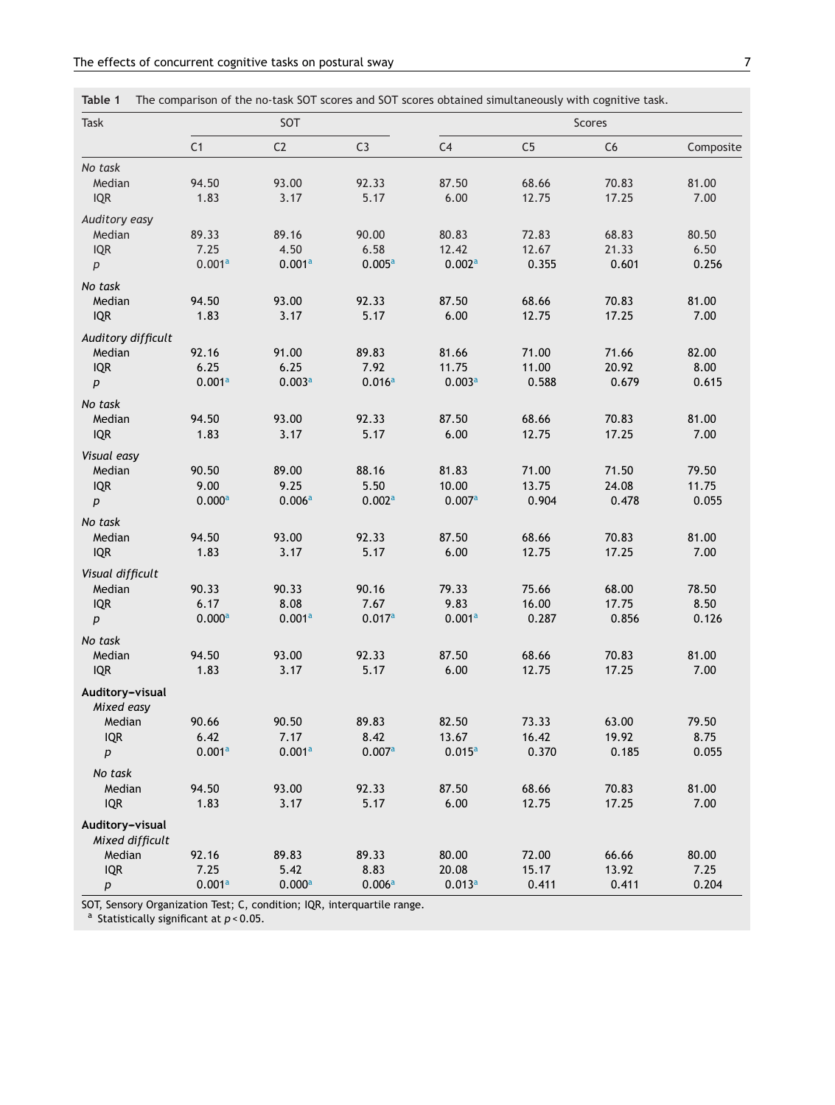<span id="page-4-0"></span>

|  |  |  | Table 1 The comparison of the no-task SOT scores and SOT scores obtained simultaneously with cognitive task. |
|--|--|--|--------------------------------------------------------------------------------------------------------------|
|  |  |  |                                                                                                              |

| Task               | SOT                |                    |        | Scores             |                |       |           |  |
|--------------------|--------------------|--------------------|--------|--------------------|----------------|-------|-----------|--|
|                    | C <sub>1</sub>     | C <sub>2</sub>     | C3     | C <sub>4</sub>     | C <sub>5</sub> | C6    | Composite |  |
| No task            |                    |                    |        |                    |                |       |           |  |
| Median             | 94.50              | 93.00              | 92.33  | 87.50              | 68.66          | 70.83 | 81.00     |  |
| <b>IQR</b>         | 1.83               | 3.17               | 5.17   | 6.00               | 12.75          | 17.25 | 7.00      |  |
| Auditory easy      |                    |                    |        |                    |                |       |           |  |
| Median             | 89.33              | 89.16              | 90.00  | 80.83              | 72.83          | 68.83 | 80.50     |  |
| <b>IQR</b>         | 7.25               | 4.50               | 6.58   | 12.42              | 12.67          | 21.33 | 6.50      |  |
| р                  | 0.001a             | 0.001a             | 0.005a | 0.002a             | 0.355          | 0.601 | 0.256     |  |
| No task            |                    |                    |        |                    |                |       |           |  |
| Median             | 94.50              | 93.00              | 92.33  | 87.50              | 68.66          | 70.83 | 81.00     |  |
| <b>IQR</b>         | 1.83               | 3.17               | 5.17   | 6.00               | 12.75          | 17.25 | 7.00      |  |
| Auditory difficult |                    |                    |        |                    |                |       |           |  |
| Median             | 92.16              | 91.00              | 89.83  | 81.66              | 71.00          | 71.66 | 82.00     |  |
| <b>IQR</b>         | 6.25               | 6.25               | 7.92   | 11.75              | 11.00          | 20.92 | 8.00      |  |
| $\boldsymbol{p}$   | 0.001a             | 0.003a             | 0.016a | 0.003a             | 0.588          | 0.679 | 0.615     |  |
| No task            |                    |                    |        |                    |                |       |           |  |
| Median             | 94.50              | 93.00              | 92.33  | 87.50              | 68.66          | 70.83 | 81.00     |  |
| <b>IQR</b>         | 1.83               | 3.17               | 5.17   | 6.00               | 12.75          | 17.25 | 7.00      |  |
| Visual easy        |                    |                    |        |                    |                |       |           |  |
| Median             | 90.50              | 89.00              | 88.16  | 81.83              | 71.00          | 71.50 | 79.50     |  |
| <b>IQR</b>         | 9.00               | 9.25               | 5.50   | 10.00              | 13.75          | 24.08 | 11.75     |  |
| p                  | 0.000 <sup>a</sup> | 0.006a             | 0.002a | 0.007a             | 0.904          | 0.478 | 0.055     |  |
| No task            |                    |                    |        |                    |                |       |           |  |
| Median             | 94.50              | 93.00              | 92.33  | 87.50              | 68.66          | 70.83 | 81.00     |  |
| <b>IQR</b>         | 1.83               | 3.17               | 5.17   | 6.00               | 12.75          | 17.25 | 7.00      |  |
| Visual difficult   |                    |                    |        |                    |                |       |           |  |
| Median             | 90.33              | 90.33              | 90.16  | 79.33              | 75.66          | 68.00 | 78.50     |  |
| <b>IQR</b>         | 6.17               | 8.08               | 7.67   | 9.83               | 16.00          | 17.75 | 8.50      |  |
| $\boldsymbol{p}$   | 0.000 <sup>a</sup> | 0.001a             | 0.017a | 0.001 <sup>a</sup> | 0.287          | 0.856 | 0.126     |  |
| No task            |                    |                    |        |                    |                |       |           |  |
| Median             | 94.50              | 93.00              | 92.33  | 87.50              | 68.66          | 70.83 | 81.00     |  |
| <b>IQR</b>         | 1.83               | 3.17               | 5.17   | 6.00               | 12.75          | 17.25 | 7.00      |  |
| Auditory-visual    |                    |                    |        |                    |                |       |           |  |
| Mixed easy         |                    |                    |        |                    |                |       |           |  |
| Median             | 90.66              | 90.50              | 89.83  | 82.50              | 73.33          | 63.00 | 79.50     |  |
| <b>IQR</b>         | 6.42               | 7.17               | 8.42   | 13.67              | 16.42          | 19.92 | 8.75      |  |
| $\boldsymbol{p}$   | 0.001 <sup>a</sup> | 0.001 <sup>a</sup> | 0.007a | $0.015^a$          | 0.370          | 0.185 | 0.055     |  |
| No task            |                    |                    |        |                    |                |       |           |  |
| Median             | 94.50              | 93.00              | 92.33  | 87.50              | 68.66          | 70.83 | 81.00     |  |
| <b>IQR</b>         | 1.83               | 3.17               | 5.17   | 6.00               | 12.75          | 17.25 | 7.00      |  |
| Auditory-visual    |                    |                    |        |                    |                |       |           |  |
| Mixed difficult    |                    |                    |        |                    |                |       |           |  |
| Median             | 92.16              | 89.83              | 89.33  | 80.00              | 72.00          | 66.66 | 80.00     |  |
| <b>IQR</b>         | 7.25               | 5.42               | 8.83   | 20.08              | 15.17          | 13.92 | 7.25      |  |
| р                  | 0.001a             | 0.000 <sup>a</sup> | 0.006a | 0.013a             | 0.411          | 0.411 | 0.204     |  |

SOT, Sensory Organization Test; C, condition; IQR, interquartile range.

<sup>a</sup> Statistically significant at *p* < 0.05.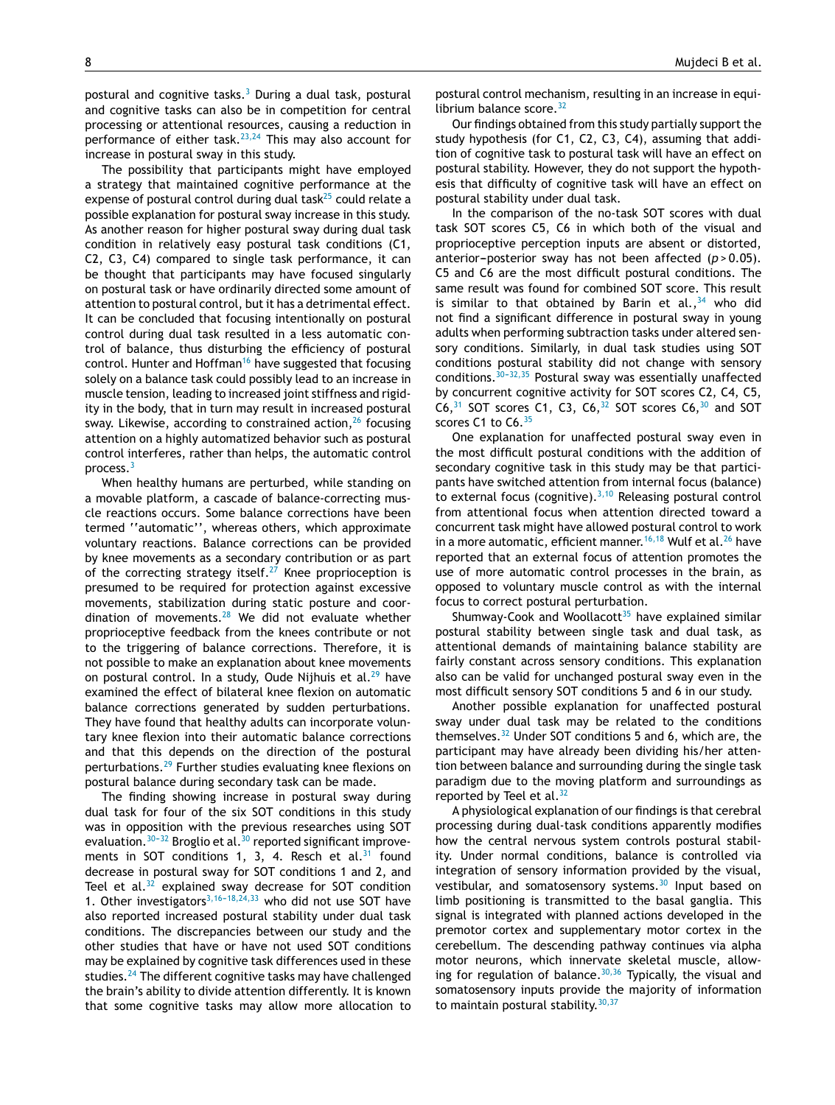postural and cognitive tasks. $3$  During a dual task, postural and cognitive tasks can also be in competition for central processing or attentional resources, causing a reduction in performance of either task. $23,24$  This may also account for increase in postural sway in this study.

The possibility that participants might have employed a strategy that maintained cognitive performance at the expense of postural control during dual task $25$  could relate a possible explanation for postural sway increase in this study. As another reason for higher postural sway during dual task condition in relatively easy postural task conditions (C1, C2, C3, C4) compared to single task performance, it can be thought that participants may have focused singularly on postural task or have ordinarily directed some amount of attention to postural control, but it has a detrimental effect. It can be concluded that focusing intentionally on postural control during dual task resulted in a less automatic control of balance, thus disturbing the efficiency of postural control. Hunter and Hoffman<sup>[16](#page-7-0)</sup> have suggested that focusing solely on a balance task could possibly lead to an increase in muscle tension, leading to increased joint stiffness and rigidity in the body, that in turn may result in increased postural sway. Likewise, according to constrained action, $26$  focusing attention on a highly automatized behavior such as postural control interferes, rather than helps, the automatic control process.[3](#page-6-0)

When healthy humans are perturbed, while standing on a movable platform, a cascade of balance-correcting muscle reactions occurs. Some balance corrections have been termed ''automatic'', whereas others, which approximate voluntary reactions. Balance corrections can be provided by knee movements as a secondary contribution or as part of the correcting strategy itself.<sup>[27](#page-7-0)</sup> Knee proprioception is presumed to be required for protection against excessive movements, stabilization during static posture and coordination of movements. $28$  We did not evaluate whether proprioceptive feedback from the knees contribute or not to the triggering of balance corrections. Therefore, it is not possible to make an explanation about knee movements on postural control. In a study, Oude Nijhuis et al. $^{29}$  $^{29}$  $^{29}$  have examined the effect of bilateral knee flexion on automatic balance corrections generated by sudden perturbations. They have found that healthy adults can incorporate voluntary knee flexion into their automatic balance corrections and that this depends on the direction of the postural perturbations.[29](#page-7-0) Further studies evaluating knee flexions on postural balance during secondary task can be made.

The finding showing increase in postural sway during dual task for four of the six SOT conditions in this study was in opposition with the previous researches using SOT evaluation.  $30-32$  $30-32$  Broglio et al.  $30$  reported significant improvements in SOT conditions 1, 3, 4. Resch et al. $31$  found decrease in postural sway for SOT conditions 1 and 2, and Teel et al. $32$  explained sway decrease for SOT condition 1. Other investigators<sup>3,16-18,24,33</sup> who did not use SOT have also reported increased postural stability under dual task conditions. The discrepancies between our study and the other studies that have or have not used SOT conditions may be explained by cognitive task differences used in these studies.<sup>[24](#page-7-0)</sup> The different cognitive tasks may have challenged the brain's ability to divide attention differently. It is known that some cognitive tasks may allow more allocation to postural control mechanism, resulting in an increase in equilibrium balance score. $32$ 

Our findings obtained from this study partially support the study hypothesis (for C1, C2, C3, C4), assuming that addition of cognitive task to postural task will have an effect on postural stability. However, they do not support the hypothesis that difficulty of cognitive task will have an effect on postural stability under dual task.

In the comparison of the no-task SOT scores with dual task SOT scores C5, C6 in which both of the visual and proprioceptive perception inputs are absent or distorted, anterior-posterior sway has not been affected  $(p > 0.05)$ . C5 and C6 are the most difficult postural conditions. The same result was found for combined SOT score. This result is similar to that obtained by Barin et al.,  $34$  who did not find a significant difference in postural sway in young adults when performing subtraction tasks under altered sensory conditions. Similarly, in dual task studies using SOT conditions postural stability did not change with sensory conditions. $30-32,35$  Postural sway was essentially unaffected by concurrent cognitive activity for SOT scores C2, C4, C5,  $C6$ ,<sup>[31](#page-7-0)</sup> SOT scores C1, C3, C6,<sup>[32](#page-7-0)</sup> SOT scores  $C6$ ,<sup>[30](#page-7-0)</sup> and SOT scores C1 to C6.<sup>[35](#page-7-0)</sup>

One explanation for unaffected postural sway even in the most difficult postural conditions with the addition of secondary cognitive task in this study may be that participants have switched attention from internal focus (balance) to external focus (cognitive).  $3,10$  Releasing postural control from attentional focus when attention directed toward a concurrent task might have allowed postural control to work in a more automatic, efficient manner.<sup>[16,18](#page-7-0)</sup> Wulf et al.<sup>[26](#page-7-0)</sup> have reported that an external focus of attention promotes the use of more automatic control processes in the brain, as opposed to voluntary muscle control as with the internal focus to correct postural perturbation.

Shumway-Cook and Woollacott $35$  have explained similar postural stability between single task and dual task, as attentional demands of maintaining balance stability are fairly constant across sensory conditions. This explanation also can be valid for unchanged postural sway even in the most difficult sensory SOT conditions 5 and 6 in our study.

Another possible explanation for unaffected postural sway under dual task may be related to the conditions themselves. $32$  Under SOT conditions 5 and 6, which are, the participant may have already been dividing his/her attention between balance and surrounding during the single task paradigm due to the moving platform and surroundings as reported by Teel et al. $32$ 

A physiological explanation of our findings is that cerebral processing during dual-task conditions apparently modifies how the central nervous system controls postural stability. Under normal conditions, balance is controlled via integration of sensory information provided by the visual, vestibular, and somatosensory systems.<sup>[30](#page-7-0)</sup> Input based on limb positioning is transmitted to the basal ganglia. This signal is integrated with planned actions developed in the premotor cortex and supplementary motor cortex in the cerebellum. The descending pathway continues via alpha motor neurons, which innervate skeletal muscle, allowing for regulation of balance.  $30,36$  Typically, the visual and somatosensory inputs provide the majority of information to maintain postural stability. [30,37](#page-7-0)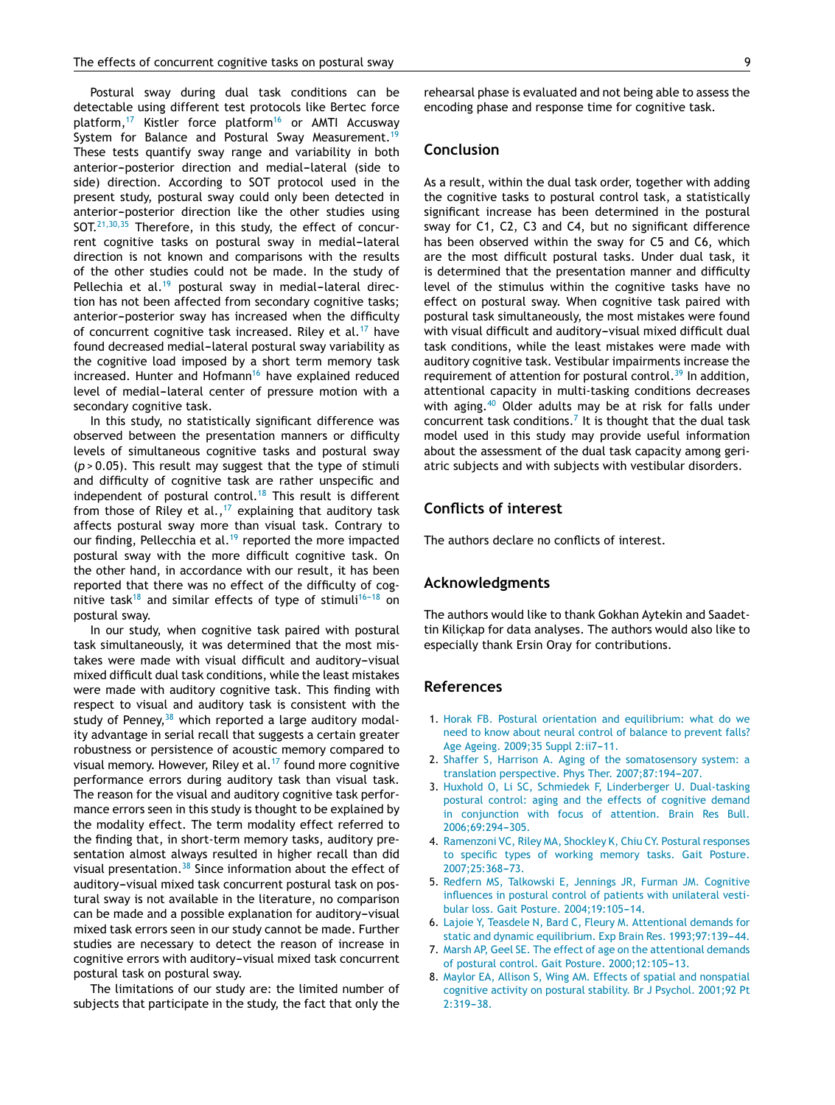<span id="page-6-0"></span>Postural sway during dual task conditions can be detectable using different test protocols like Bertec force platform, $17$  Kistler force platform $16$  or AMTI Accusway System for Balance and Postural Sway Measurement.<sup>[19](#page-7-0)</sup> These tests quantify sway range and variability in both anterior-posterior direction and medial-lateral (side to side) direction. According to SOT protocol used in the present study, postural sway could only been detected in anterior-posterior direction like the other studies using SOT. $21,30,35$  Therefore, in this study, the effect of concurrent cognitive tasks on postural sway in medial-lateral direction is not known and comparisons with the results of the other studies could not be made. In the study of Pellechia et al. $19$  postural sway in medial-lateral direction has not been affected from secondary cognitive tasks; anterior-posterior sway has increased when the difficulty of concurrent cognitive task increased. Riley et al.<sup>[17](#page-7-0)</sup> have found decreased medial-lateral postural sway variability as the cognitive load imposed by a short term memory task increased. Hunter and Hofmann<sup>[16](#page-7-0)</sup> have explained reduced level of medial-lateral center of pressure motion with a secondary cognitive task.

In this study, no statistically significant difference was observed between the presentation manners or difficulty levels of simultaneous cognitive tasks and postural sway (*p* > 0.05). This result may suggest that the type of stimuli and difficulty of cognitive task are rather unspecific and independent of postural control.<sup>[18](#page-7-0)</sup> This result is different from those of Riley et al.,<sup>[17](#page-7-0)</sup> explaining that auditory task affects postural sway more than visual task. Contrary to our finding, Pellecchia et al.<sup>[19](#page-7-0)</sup> reported the more impacted postural sway with the more difficult cognitive task. On the other hand, in accordance with our result, it has been reported that there was no effect of the difficulty of cog-nitive task<sup>[18](#page-7-0)</sup> and similar effects of type of stimuli<sup>16-18</sup> on postural sway.

In our study, when cognitive task paired with postural task simultaneously, it was determined that the most mistakes were made with visual difficult and auditory-visual mixed difficult dual task conditions, while the least mistakes were made with auditory cognitive task. This finding with respect to visual and auditory task is consistent with the study of Penney,  $38$  which reported a large auditory modality advantage in serial recall that suggests a certain greater robustness or persistence of acoustic memory compared to visual memory. However, Riley et al. $17$  found more cognitive performance errors during auditory task than visual task. The reason for the visual and auditory cognitive task performance errors seen in this study is thought to be explained by the modality effect. The term modality effect referred to the finding that, in short-term memory tasks, auditory presentation almost always resulted in higher recall than did visual presentation.[38](#page-7-0) Since information about the effect of auditory-visual mixed task concurrent postural task on postural sway is not available in the literature, no comparison can be made and a possible explanation for auditory-visual mixed task errors seen in our study cannot be made. Further studies are necessary to detect the reason of increase in cognitive errors with auditory-visual mixed task concurrent postural task on postural sway.

The limitations of our study are: the limited number of subjects that participate in the study, the fact that only the rehearsal phase is evaluated and not being able to assess the encoding phase and response time for cognitive task.

## **Conclusion**

As a result, within the dual task order, together with adding the cognitive tasks to postural control task, a statistically significant increase has been determined in the postural sway for C1, C2, C3 and C4, but no significant difference has been observed within the sway for C5 and C6, which are the most difficult postural tasks. Under dual task, it is determined that the presentation manner and difficulty level of the stimulus within the cognitive tasks have no effect on postural sway. When cognitive task paired with postural task simultaneously, the most mistakes were found with visual difficult and auditory-visual mixed difficult dual task conditions, while the least mistakes were made with auditory cognitive task. Vestibular impairments increase the requirement of attention for postural control.<sup>[39](#page-7-0)</sup> In addition, attentional capacity in multi-tasking conditions decreases with aging.<sup>[40](#page-7-0)</sup> Older adults may be at risk for falls under concurrent task conditions.<sup>7</sup> It is thought that the dual task model used in this study may provide useful information about the assessment of the dual task capacity among geriatric subjects and with subjects with vestibular disorders.

## **Conflicts of interest**

The authors declare no conflicts of interest.

### **Acknowledgments**

The authors would like to thank Gokhan Aytekin and Saadettin Kilickap for data analyses. The authors would also like to especially thank Ersin Oray for contributions.

## **References**

- 1. [Horak](http://refhub.elsevier.com/S1808-8694(15)00205-0/sbref0205) [FB.](http://refhub.elsevier.com/S1808-8694(15)00205-0/sbref0205) [Postural](http://refhub.elsevier.com/S1808-8694(15)00205-0/sbref0205) [orientation](http://refhub.elsevier.com/S1808-8694(15)00205-0/sbref0205) [and](http://refhub.elsevier.com/S1808-8694(15)00205-0/sbref0205) [equilibrium:](http://refhub.elsevier.com/S1808-8694(15)00205-0/sbref0205) [what](http://refhub.elsevier.com/S1808-8694(15)00205-0/sbref0205) [do](http://refhub.elsevier.com/S1808-8694(15)00205-0/sbref0205) [we](http://refhub.elsevier.com/S1808-8694(15)00205-0/sbref0205) [need](http://refhub.elsevier.com/S1808-8694(15)00205-0/sbref0205) [to](http://refhub.elsevier.com/S1808-8694(15)00205-0/sbref0205) [know](http://refhub.elsevier.com/S1808-8694(15)00205-0/sbref0205) [about](http://refhub.elsevier.com/S1808-8694(15)00205-0/sbref0205) [neural](http://refhub.elsevier.com/S1808-8694(15)00205-0/sbref0205) [control](http://refhub.elsevier.com/S1808-8694(15)00205-0/sbref0205) [of](http://refhub.elsevier.com/S1808-8694(15)00205-0/sbref0205) [balance](http://refhub.elsevier.com/S1808-8694(15)00205-0/sbref0205) [to](http://refhub.elsevier.com/S1808-8694(15)00205-0/sbref0205) [prevent](http://refhub.elsevier.com/S1808-8694(15)00205-0/sbref0205) [falls?](http://refhub.elsevier.com/S1808-8694(15)00205-0/sbref0205) [Age](http://refhub.elsevier.com/S1808-8694(15)00205-0/sbref0205) [Ageing.](http://refhub.elsevier.com/S1808-8694(15)00205-0/sbref0205) [2009;35](http://refhub.elsevier.com/S1808-8694(15)00205-0/sbref0205) [Suppl](http://refhub.elsevier.com/S1808-8694(15)00205-0/sbref0205) 2:ii7-11.
- 2. [Shaffer](http://refhub.elsevier.com/S1808-8694(15)00205-0/sbref0210) [S,](http://refhub.elsevier.com/S1808-8694(15)00205-0/sbref0210) [Harrison](http://refhub.elsevier.com/S1808-8694(15)00205-0/sbref0210) [A.](http://refhub.elsevier.com/S1808-8694(15)00205-0/sbref0210) [Aging](http://refhub.elsevier.com/S1808-8694(15)00205-0/sbref0210) [of](http://refhub.elsevier.com/S1808-8694(15)00205-0/sbref0210) [the](http://refhub.elsevier.com/S1808-8694(15)00205-0/sbref0210) [somatosensory](http://refhub.elsevier.com/S1808-8694(15)00205-0/sbref0210) [system:](http://refhub.elsevier.com/S1808-8694(15)00205-0/sbref0210) [a](http://refhub.elsevier.com/S1808-8694(15)00205-0/sbref0210) [translation](http://refhub.elsevier.com/S1808-8694(15)00205-0/sbref0210) [perspective.](http://refhub.elsevier.com/S1808-8694(15)00205-0/sbref0210) [Phys](http://refhub.elsevier.com/S1808-8694(15)00205-0/sbref0210) [Ther.](http://refhub.elsevier.com/S1808-8694(15)00205-0/sbref0210) 2007;87:194-207.
- 3. [Huxhold](http://refhub.elsevier.com/S1808-8694(15)00205-0/sbref0215) [O,](http://refhub.elsevier.com/S1808-8694(15)00205-0/sbref0215) [Li](http://refhub.elsevier.com/S1808-8694(15)00205-0/sbref0215) [SC,](http://refhub.elsevier.com/S1808-8694(15)00205-0/sbref0215) [Schmiedek](http://refhub.elsevier.com/S1808-8694(15)00205-0/sbref0215) [F,](http://refhub.elsevier.com/S1808-8694(15)00205-0/sbref0215) [Linderberger](http://refhub.elsevier.com/S1808-8694(15)00205-0/sbref0215) [U.](http://refhub.elsevier.com/S1808-8694(15)00205-0/sbref0215) [Dual-tasking](http://refhub.elsevier.com/S1808-8694(15)00205-0/sbref0215) [postural](http://refhub.elsevier.com/S1808-8694(15)00205-0/sbref0215) [control:](http://refhub.elsevier.com/S1808-8694(15)00205-0/sbref0215) [aging](http://refhub.elsevier.com/S1808-8694(15)00205-0/sbref0215) [and](http://refhub.elsevier.com/S1808-8694(15)00205-0/sbref0215) [the](http://refhub.elsevier.com/S1808-8694(15)00205-0/sbref0215) [effects](http://refhub.elsevier.com/S1808-8694(15)00205-0/sbref0215) [of](http://refhub.elsevier.com/S1808-8694(15)00205-0/sbref0215) [cognitive](http://refhub.elsevier.com/S1808-8694(15)00205-0/sbref0215) [demand](http://refhub.elsevier.com/S1808-8694(15)00205-0/sbref0215) [in](http://refhub.elsevier.com/S1808-8694(15)00205-0/sbref0215) [conjunction](http://refhub.elsevier.com/S1808-8694(15)00205-0/sbref0215) [with](http://refhub.elsevier.com/S1808-8694(15)00205-0/sbref0215) [focus](http://refhub.elsevier.com/S1808-8694(15)00205-0/sbref0215) [of](http://refhub.elsevier.com/S1808-8694(15)00205-0/sbref0215) [attention.](http://refhub.elsevier.com/S1808-8694(15)00205-0/sbref0215) [Brain](http://refhub.elsevier.com/S1808-8694(15)00205-0/sbref0215) [Res](http://refhub.elsevier.com/S1808-8694(15)00205-0/sbref0215) [Bull.](http://refhub.elsevier.com/S1808-8694(15)00205-0/sbref0215) 2006:69:294-305.
- 4. [Ramenzoni](http://refhub.elsevier.com/S1808-8694(15)00205-0/sbref0220) [VC,](http://refhub.elsevier.com/S1808-8694(15)00205-0/sbref0220) [Riley](http://refhub.elsevier.com/S1808-8694(15)00205-0/sbref0220) [MA,](http://refhub.elsevier.com/S1808-8694(15)00205-0/sbref0220) [Shockley](http://refhub.elsevier.com/S1808-8694(15)00205-0/sbref0220) [K,](http://refhub.elsevier.com/S1808-8694(15)00205-0/sbref0220) [Chiu](http://refhub.elsevier.com/S1808-8694(15)00205-0/sbref0220) [CY.](http://refhub.elsevier.com/S1808-8694(15)00205-0/sbref0220) [Postural](http://refhub.elsevier.com/S1808-8694(15)00205-0/sbref0220) [responses](http://refhub.elsevier.com/S1808-8694(15)00205-0/sbref0220) [to](http://refhub.elsevier.com/S1808-8694(15)00205-0/sbref0220) [specific](http://refhub.elsevier.com/S1808-8694(15)00205-0/sbref0220) [types](http://refhub.elsevier.com/S1808-8694(15)00205-0/sbref0220) [of](http://refhub.elsevier.com/S1808-8694(15)00205-0/sbref0220) [working](http://refhub.elsevier.com/S1808-8694(15)00205-0/sbref0220) [memory](http://refhub.elsevier.com/S1808-8694(15)00205-0/sbref0220) [tasks.](http://refhub.elsevier.com/S1808-8694(15)00205-0/sbref0220) [Gait](http://refhub.elsevier.com/S1808-8694(15)00205-0/sbref0220) [Posture.](http://refhub.elsevier.com/S1808-8694(15)00205-0/sbref0220) 2007;25:368-73.
- 5. [Redfern](http://refhub.elsevier.com/S1808-8694(15)00205-0/sbref0225) [MS,](http://refhub.elsevier.com/S1808-8694(15)00205-0/sbref0225) [Talkowski](http://refhub.elsevier.com/S1808-8694(15)00205-0/sbref0225) [E,](http://refhub.elsevier.com/S1808-8694(15)00205-0/sbref0225) [Jennings](http://refhub.elsevier.com/S1808-8694(15)00205-0/sbref0225) [JR,](http://refhub.elsevier.com/S1808-8694(15)00205-0/sbref0225) [Furman](http://refhub.elsevier.com/S1808-8694(15)00205-0/sbref0225) [JM.](http://refhub.elsevier.com/S1808-8694(15)00205-0/sbref0225) [Cognitive](http://refhub.elsevier.com/S1808-8694(15)00205-0/sbref0225) [influences](http://refhub.elsevier.com/S1808-8694(15)00205-0/sbref0225) [in](http://refhub.elsevier.com/S1808-8694(15)00205-0/sbref0225) [postural](http://refhub.elsevier.com/S1808-8694(15)00205-0/sbref0225) [control](http://refhub.elsevier.com/S1808-8694(15)00205-0/sbref0225) [of](http://refhub.elsevier.com/S1808-8694(15)00205-0/sbref0225) [patients](http://refhub.elsevier.com/S1808-8694(15)00205-0/sbref0225) [with](http://refhub.elsevier.com/S1808-8694(15)00205-0/sbref0225) [unilateral](http://refhub.elsevier.com/S1808-8694(15)00205-0/sbref0225) [vesti](http://refhub.elsevier.com/S1808-8694(15)00205-0/sbref0225)[bular](http://refhub.elsevier.com/S1808-8694(15)00205-0/sbref0225) [loss.](http://refhub.elsevier.com/S1808-8694(15)00205-0/sbref0225) [Gait](http://refhub.elsevier.com/S1808-8694(15)00205-0/sbref0225) [Posture.](http://refhub.elsevier.com/S1808-8694(15)00205-0/sbref0225) 2004;19:105-14.
- 6. [Lajoie](http://refhub.elsevier.com/S1808-8694(15)00205-0/sbref0230) [Y,](http://refhub.elsevier.com/S1808-8694(15)00205-0/sbref0230) [Teasdele](http://refhub.elsevier.com/S1808-8694(15)00205-0/sbref0230) [N,](http://refhub.elsevier.com/S1808-8694(15)00205-0/sbref0230) [Bard](http://refhub.elsevier.com/S1808-8694(15)00205-0/sbref0230) [C,](http://refhub.elsevier.com/S1808-8694(15)00205-0/sbref0230) [Fleury](http://refhub.elsevier.com/S1808-8694(15)00205-0/sbref0230) [M.](http://refhub.elsevier.com/S1808-8694(15)00205-0/sbref0230) [Attentional](http://refhub.elsevier.com/S1808-8694(15)00205-0/sbref0230) [demands](http://refhub.elsevier.com/S1808-8694(15)00205-0/sbref0230) [for](http://refhub.elsevier.com/S1808-8694(15)00205-0/sbref0230) [static](http://refhub.elsevier.com/S1808-8694(15)00205-0/sbref0230) [and](http://refhub.elsevier.com/S1808-8694(15)00205-0/sbref0230) [dynamic](http://refhub.elsevier.com/S1808-8694(15)00205-0/sbref0230) [equilibrium.](http://refhub.elsevier.com/S1808-8694(15)00205-0/sbref0230) [Exp](http://refhub.elsevier.com/S1808-8694(15)00205-0/sbref0230) [Brain](http://refhub.elsevier.com/S1808-8694(15)00205-0/sbref0230) [Res.](http://refhub.elsevier.com/S1808-8694(15)00205-0/sbref0230) 1993;97:139-44.
- 7. [Marsh](http://refhub.elsevier.com/S1808-8694(15)00205-0/sbref0235) [AP,](http://refhub.elsevier.com/S1808-8694(15)00205-0/sbref0235) [Geel](http://refhub.elsevier.com/S1808-8694(15)00205-0/sbref0235) [SE.](http://refhub.elsevier.com/S1808-8694(15)00205-0/sbref0235) [The](http://refhub.elsevier.com/S1808-8694(15)00205-0/sbref0235) [effect](http://refhub.elsevier.com/S1808-8694(15)00205-0/sbref0235) [of](http://refhub.elsevier.com/S1808-8694(15)00205-0/sbref0235) [age](http://refhub.elsevier.com/S1808-8694(15)00205-0/sbref0235) [on](http://refhub.elsevier.com/S1808-8694(15)00205-0/sbref0235) [the](http://refhub.elsevier.com/S1808-8694(15)00205-0/sbref0235) [attentional](http://refhub.elsevier.com/S1808-8694(15)00205-0/sbref0235) [demands](http://refhub.elsevier.com/S1808-8694(15)00205-0/sbref0235) [of](http://refhub.elsevier.com/S1808-8694(15)00205-0/sbref0235) [postural](http://refhub.elsevier.com/S1808-8694(15)00205-0/sbref0235) [control.](http://refhub.elsevier.com/S1808-8694(15)00205-0/sbref0235) [Gait](http://refhub.elsevier.com/S1808-8694(15)00205-0/sbref0235) [Posture.](http://refhub.elsevier.com/S1808-8694(15)00205-0/sbref0235) 2000;12:105-13.
- 8. [Maylor](http://refhub.elsevier.com/S1808-8694(15)00205-0/sbref0240) [EA,](http://refhub.elsevier.com/S1808-8694(15)00205-0/sbref0240) [Allison](http://refhub.elsevier.com/S1808-8694(15)00205-0/sbref0240) [S,](http://refhub.elsevier.com/S1808-8694(15)00205-0/sbref0240) [Wing](http://refhub.elsevier.com/S1808-8694(15)00205-0/sbref0240) [AM.](http://refhub.elsevier.com/S1808-8694(15)00205-0/sbref0240) [Effects](http://refhub.elsevier.com/S1808-8694(15)00205-0/sbref0240) [of](http://refhub.elsevier.com/S1808-8694(15)00205-0/sbref0240) [spatial](http://refhub.elsevier.com/S1808-8694(15)00205-0/sbref0240) [and](http://refhub.elsevier.com/S1808-8694(15)00205-0/sbref0240) [nonspatial](http://refhub.elsevier.com/S1808-8694(15)00205-0/sbref0240) [cognitive](http://refhub.elsevier.com/S1808-8694(15)00205-0/sbref0240) [activity](http://refhub.elsevier.com/S1808-8694(15)00205-0/sbref0240) [on](http://refhub.elsevier.com/S1808-8694(15)00205-0/sbref0240) [postural](http://refhub.elsevier.com/S1808-8694(15)00205-0/sbref0240) [stability.](http://refhub.elsevier.com/S1808-8694(15)00205-0/sbref0240) [Br](http://refhub.elsevier.com/S1808-8694(15)00205-0/sbref0240) [J](http://refhub.elsevier.com/S1808-8694(15)00205-0/sbref0240) [Psychol.](http://refhub.elsevier.com/S1808-8694(15)00205-0/sbref0240) [2001;92](http://refhub.elsevier.com/S1808-8694(15)00205-0/sbref0240) [Pt](http://refhub.elsevier.com/S1808-8694(15)00205-0/sbref0240)  $2:319-38.$  $2:319-38.$  $2:319-38.$